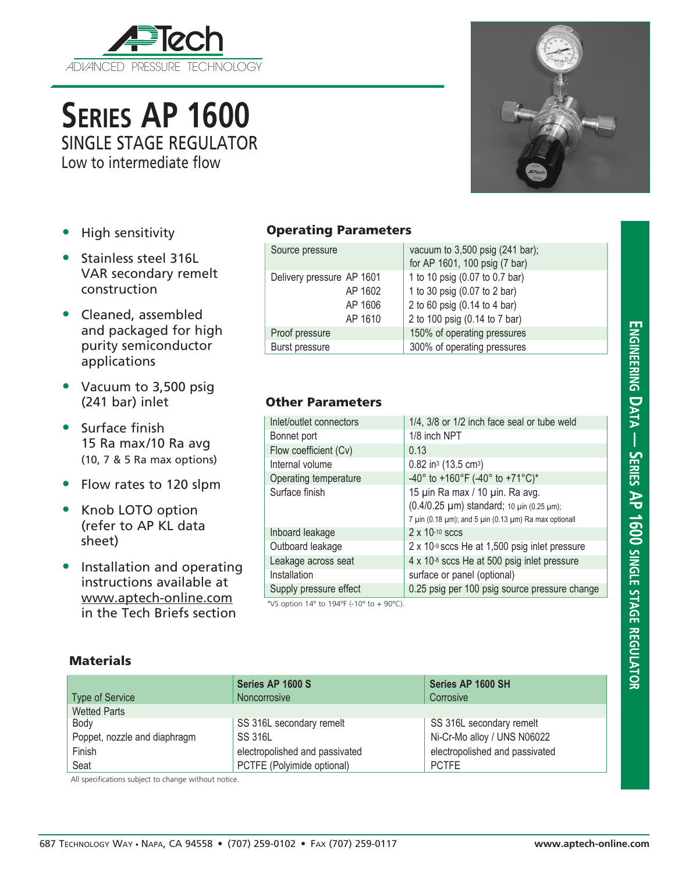

**Series AP 1600** SINGLE STAGE REGULATOR

Low to intermediate flow

**Engineering D**

**a t**

**a — Series AP 1600 single**

<u>ហ្គ</u> **age**

**REGULATOR** 

- High sensitivity
- Stainless steel 316L VAR secondary remelt construction
- Cleaned, assembled and packaged for high purity semiconductor applications
- Vacuum to 3,500 psig (241 bar) inlet
- Surface finish 15 Ra max/10 Ra avg (10, 7 & 5 Ra max options)
- Flow rates to 120 slpm
- Knob LOTO option (refer to AP KL data sheet)
- Installation and operating instructions available at www.aptech-online.com in the Tech Briefs section

## Operating Parameters

| Source pressure                                            | vacuum to 3,500 psig (241 bar);<br>for AP 1601, 100 psig (7 bar)                                                                |
|------------------------------------------------------------|---------------------------------------------------------------------------------------------------------------------------------|
| Delivery pressure AP 1601<br>AP 1602<br>AP 1606<br>AP 1610 | 1 to 10 psig (0.07 to 0.7 bar)<br>1 to 30 psig (0.07 to 2 bar)<br>2 to 60 psig (0.14 to 4 bar)<br>2 to 100 psig (0.14 to 7 bar) |
| Proof pressure                                             | 150% of operating pressures                                                                                                     |
| Burst pressure                                             | 300% of operating pressures                                                                                                     |

## Other Parameters

| Inlet/outlet connectors | 1/4, 3/8 or 1/2 inch face seal or tube weld                                                                                                               |  |  |  |
|-------------------------|-----------------------------------------------------------------------------------------------------------------------------------------------------------|--|--|--|
| Bonnet port             | 1/8 inch NPT                                                                                                                                              |  |  |  |
| Flow coefficient (Cv)   | 0.13                                                                                                                                                      |  |  |  |
| Internal volume         | $0.82$ in <sup>3</sup> (13.5 cm <sup>3</sup> )                                                                                                            |  |  |  |
| Operating temperature   | -40° to +160°F (-40° to +71°C)*                                                                                                                           |  |  |  |
| Surface finish          | 15 µin Ra max / 10 µin. Ra avg.<br>(0.4/0.25 µm) standard; 10 µin (0.25 µm);<br>7 $\mu$ in (0.18 $\mu$ m); and 5 $\mu$ in (0.13 $\mu$ m) Ra max optionall |  |  |  |
| Inboard leakage         | $2 \times 10^{-10}$ sccs                                                                                                                                  |  |  |  |
| Outboard leakage        | 2 x 10-9 sccs He at 1,500 psig inlet pressure                                                                                                             |  |  |  |
| Leakage across seat     | 4 x 10-8 sccs He at 500 psig inlet pressure                                                                                                               |  |  |  |
| Installation            | surface or panel (optional)                                                                                                                               |  |  |  |
| Supply pressure effect  | 0.25 psig per 100 psig source pressure change                                                                                                             |  |  |  |
|                         |                                                                                                                                                           |  |  |  |

\*VS option 14º to 194ºF (-10º to + 90ºC).

## **Materials**

| <b>Type of Service</b>       | Series AP 1600 S<br>Noncorrosive | Series AP 1600 SH<br>Corrosive |
|------------------------------|----------------------------------|--------------------------------|
| <b>Wetted Parts</b>          |                                  |                                |
| Body                         | SS 316L secondary remelt         | SS 316L secondary remelt       |
| Poppet, nozzle and diaphragm | <b>SS 316L</b>                   | Ni-Cr-Mo alloy / UNS N06022    |
| Finish                       | electropolished and passivated   | electropolished and passivated |
| Seat                         | PCTFE (Polyimide optional)       | <b>PCTFE</b>                   |

All specifications subject to change without notice.